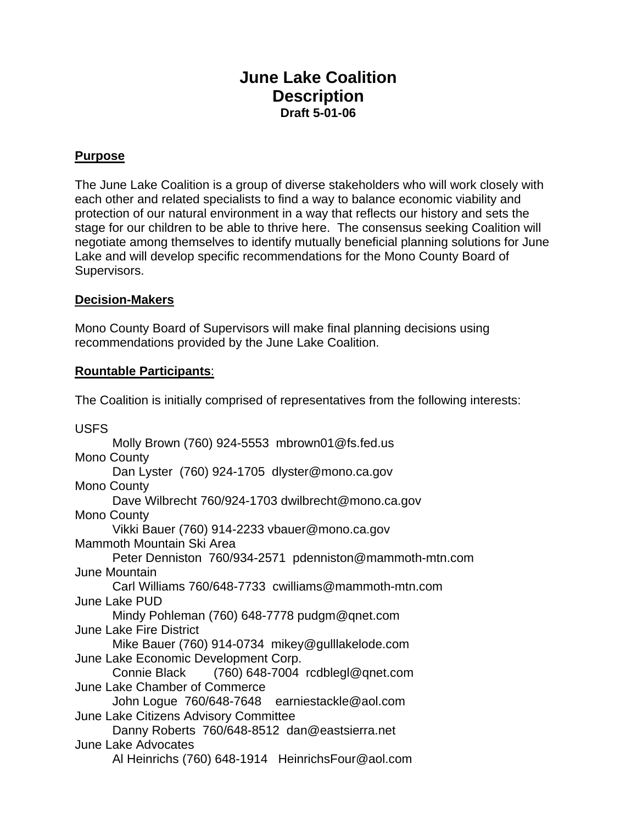# **June Lake Coalition Description Draft 5-01-06**

## **Purpose**

The June Lake Coalition is a group of diverse stakeholders who will work closely with each other and related specialists to find a way to balance economic viability and protection of our natural environment in a way that reflects our history and sets the stage for our children to be able to thrive here. The consensus seeking Coalition will negotiate among themselves to identify mutually beneficial planning solutions for June Lake and will develop specific recommendations for the Mono County Board of Supervisors.

### **Decision-Makers**

Mono County Board of Supervisors will make final planning decisions using recommendations provided by the June Lake Coalition.

### **Rountable Participants**:

The Coalition is initially comprised of representatives from the following interests:

USFS Molly Brown (760) 924-5553 mbrown01@fs.fed.us Mono County Dan Lyster (760) 924-1705 dlyster@mono.ca.gov Mono County Dave Wilbrecht 760/924-1703 dwilbrecht@mono.ca.gov Mono County Vikki Bauer (760) 914-2233 vbauer@mono.ca.gov Mammoth Mountain Ski Area Peter Denniston 760/934-2571 pdenniston@mammoth-mtn.com June Mountain Carl Williams 760/648-7733 cwilliams@mammoth-mtn.com June Lake PUD Mindy Pohleman (760) 648-7778 pudgm@qnet.com June Lake Fire District Mike Bauer (760) 914-0734 mikey@gulllakelode.com June Lake Economic Development Corp. Connie Black (760) 648-7004 rcdblegl@qnet.com June Lake Chamber of Commerce John Logue 760/648-7648 earniestackle@aol.com June Lake Citizens Advisory Committee Danny Roberts 760/648-8512 dan@eastsierra.net June Lake Advocates Al Heinrichs (760) 648-1914 HeinrichsFour@aol.com